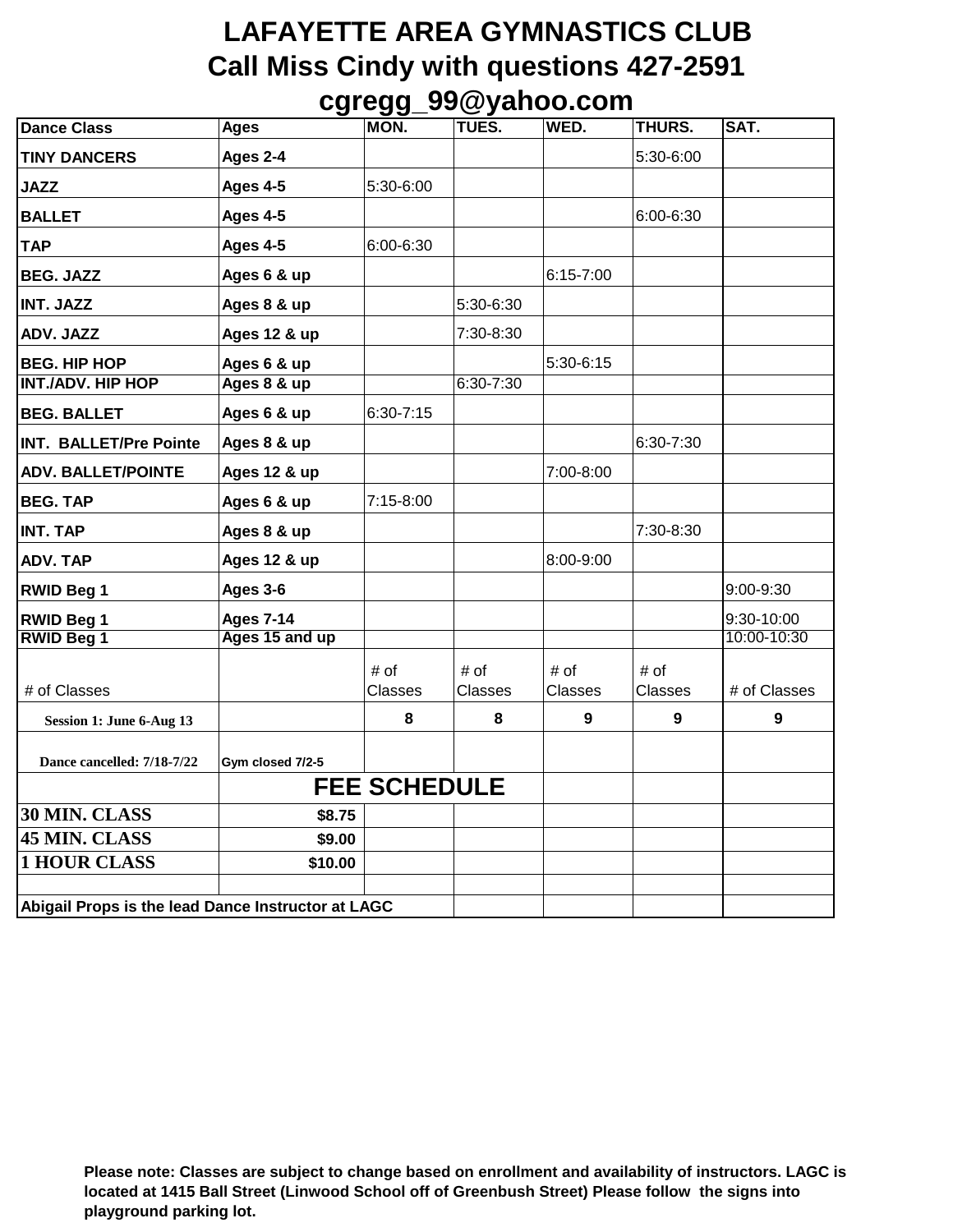## **LAFAYETTE AREA GYMNASTICS CLUB Call Miss Cindy with questions 427-2591 cgregg\_99@yahoo.com**

| <b>Dance Class</b>                                 | <b>Ages</b>      | MON.                | $-99 - -99$<br>TUES. | WED.           | THURS.    | SAT.         |
|----------------------------------------------------|------------------|---------------------|----------------------|----------------|-----------|--------------|
| <b>TINY DANCERS</b>                                | Ages 2-4         |                     |                      |                | 5:30-6:00 |              |
| <b>JAZZ</b>                                        | Ages 4-5         | 5:30-6:00           |                      |                |           |              |
| <b>BALLET</b>                                      | Ages 4-5         |                     |                      |                | 6:00-6:30 |              |
| <b>TAP</b>                                         | Ages 4-5         | 6:00-6:30           |                      |                |           |              |
| <b>BEG. JAZZ</b>                                   | Ages 6 & up      |                     |                      | $6:15 - 7:00$  |           |              |
| <b>INT. JAZZ</b>                                   | Ages 8 & up      |                     | 5:30-6:30            |                |           |              |
| ADV. JAZZ                                          | Ages 12 & up     |                     | 7:30-8:30            |                |           |              |
| <b>BEG. HIP HOP</b>                                | Ages 6 & up      |                     |                      | $5:30-6:15$    |           |              |
| <b>INT./ADV. HIP HOP</b>                           | Ages 8 & up      |                     | $6:30 - 7:30$        |                |           |              |
| <b>BEG. BALLET</b>                                 | Ages 6 & up      | $6:30 - 7:15$       |                      |                |           |              |
| <b>INT. BALLET/Pre Pointe</b>                      | Ages 8 & up      |                     |                      |                | 6:30-7:30 |              |
| <b>ADV. BALLET/POINTE</b>                          | Ages 12 & up     |                     |                      | 7:00-8:00      |           |              |
| <b>BEG. TAP</b>                                    | Ages 6 & up      | 7:15-8:00           |                      |                |           |              |
| <b>INT. TAP</b>                                    | Ages 8 & up      |                     |                      |                | 7:30-8:30 |              |
| <b>ADV. TAP</b>                                    | Ages 12 & up     |                     |                      | 8:00-9:00      |           |              |
| <b>RWID Beg 1</b>                                  | Ages 3-6         |                     |                      |                |           | 9:00-9:30    |
| <b>RWID Beg 1</b>                                  | <b>Ages 7-14</b> |                     |                      |                |           | 9:30-10:00   |
| <b>RWID Beg 1</b>                                  | Ages 15 and up   |                     |                      |                |           | 10:00-10:30  |
|                                                    |                  | # of                | # of                 | # of           | # of      |              |
| # of Classes                                       |                  | <b>Classes</b>      | <b>Classes</b>       | <b>Classes</b> | Classes   | # of Classes |
| Session 1: June 6-Aug 13                           |                  | 8                   | 8                    | 9              | 9         | 9            |
| Dance cancelled: 7/18-7/22                         | Gym closed 7/2-5 |                     |                      |                |           |              |
|                                                    |                  | <b>FEE SCHEDULE</b> |                      |                |           |              |
| 30 MIN. CLASS                                      | \$8.75           |                     |                      |                |           |              |
| 45 MIN. CLASS                                      | \$9.00           |                     |                      |                |           |              |
| <b>1 HOUR CLASS</b>                                | \$10.00          |                     |                      |                |           |              |
|                                                    |                  |                     |                      |                |           |              |
| Abigail Props is the lead Dance Instructor at LAGC |                  |                     |                      |                |           |              |

**Please note: Classes are subject to change based on enrollment and availability of instructors. LAGC is located at 1415 Ball Street (Linwood School off of Greenbush Street) Please follow the signs into playground parking lot.**